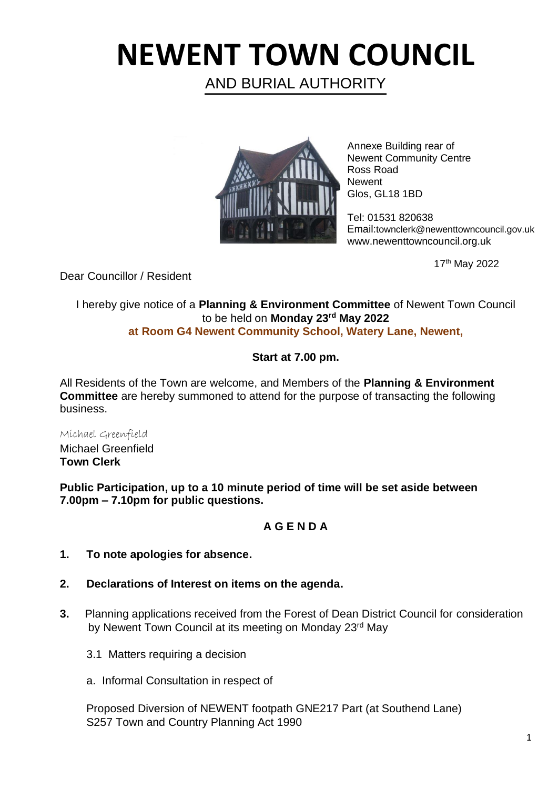# **NEWENT TOWN COUNCIL**

AND BURIAL AUTHORITY



Annexe Building rear of Newent Community Centre Ross Road **Newent** Glos, GL18 1BD

Tel: 01531 820638 Email:townclerk@newenttowncouncil.gov.uk www.newenttowncouncil.org.uk

17th May 2022

Dear Councillor / Resident

I hereby give notice of a **Planning & Environment Committee** of Newent Town Council to be held on **Monday 23rd May 2022 at Room G4 Newent Community School, Watery Lane, Newent,**

### **Start at 7.00 pm.**

All Residents of the Town are welcome, and Members of the **Planning & Environment Committee** are hereby summoned to attend for the purpose of transacting the following business.

Michael Greenfield Michael Greenfield **Town Clerk**

**Public Participation, up to a 10 minute period of time will be set aside between 7.00pm – 7.10pm for public questions.**

## **A G E N D A**

- **1. To note apologies for absence.**
- **2. Declarations of Interest on items on the agenda.**
- **3.** Planning applications received from the Forest of Dean District Council for consideration by Newent Town Council at its meeting on Monday 23<sup>rd</sup> May
	- 3.1 Matters requiring a decision
	- a. Informal Consultation in respect of

Proposed Diversion of NEWENT footpath GNE217 Part (at Southend Lane) S257 Town and Country Planning Act 1990